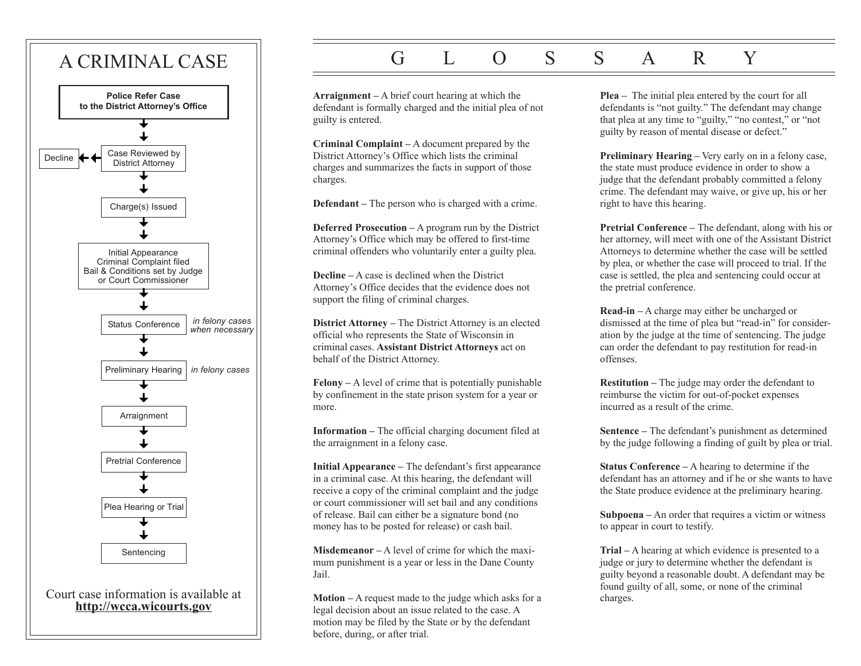

# G L O S S A R Y

**Arraignment –** A brief court hearing at which the defendant is formally charged and the initial plea of not guilty is entered.

**Criminal Complaint –** A document prepared by the District Attorney's Office which lists the criminal charges and summarizes the facts in support of those charges.

**Defendant –** The person who is charged with a crime.

**Deferred Prosecution –** A program run by the District Attorney's Office which may be offered to first-time criminal offenders who voluntarily enter a guilty plea.

**Decline –** A case is declined when the District Attorney's Office decides that the evidence does not support the filing of criminal charges.

**District Attorney –** The District Attorney is an elected official who represents the State of Wisconsin in criminal cases. **Assistant District Attorneys** act on behalf of the District Attorney.

**Felony –** A level of crime that is potentially punishable by confinement in the state prison system for a year or more.

**Information –** The official charging document filed at the arraignment in a felony case.

**Initial Appearance –** The defendant's first appearance in a criminal case. At this hearing, the defendant will receive a copy of the criminal complaint and the judge or court commissioner will set bail and any conditions of release. Bail can either be a signature bond (no money has to be posted for release) or cash bail.

**Misdemeanor –** A level of crime for which the maximum punishment is a year or less in the Dane County Jail.

**Motion –** A request made to the judge which asks for a legal decision about an issue related to the case. A motion may be filed by the State or by the defendant before, during, or after trial.

**Plea –** The initial plea entered by the court for all defendants is "not guilty." The defendant may change that plea at any time to "guilty," "no contest," or "not guilty by reason of mental disease or defect."

**Preliminary Hearing –** Very early on in a felony case, the state must produce evidence in order to show a judge that the defendant probably committed a felony crime. The defendant may waive, or give up, his or her right to have this hearing.

**Pretrial Conference –** The defendant, along with his or her attorney, will meet with one of the Assistant District Attorneys to determine whether the case will be settled by plea, or whether the case will proceed to trial. If the case is settled, the plea and sentencing could occur at the pretrial conference.

**Read-in –** A charge may either be uncharged or dismissed at the time of plea but "read-in" for consideration by the judge at the time of sentencing. The judge can order the defendant to pay restitution for read-in offenses.

**Restitution –** The judge may order the defendant to reimburse the victim for out-of-pocket expenses incurred as a result of the crime.

**Sentence –** The defendant's punishment as determined by the judge following a finding of guilt by plea or trial.

**Status Conference –** A hearing to determine if the defendant has an attorney and if he or she wants to have the State produce evidence at the preliminary hearing.

**Subpoena –** An order that requires a victim or witness to appear in court to testify.

**Trial –** A hearing at which evidence is presented to a judge or jury to determine whether the defendant is guilty beyond a reasonable doubt. A defendant may be found guilty of all, some, or none of the criminal charges.